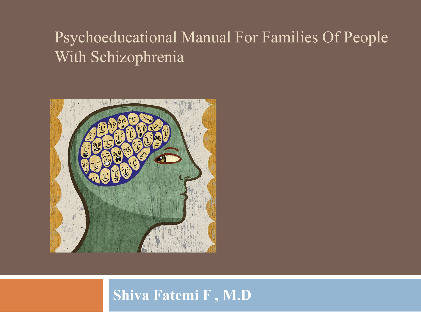#### Psychoeducational Manual For Families Of People With Schizophrenia



#### **Shiva Fatemi F , M.D**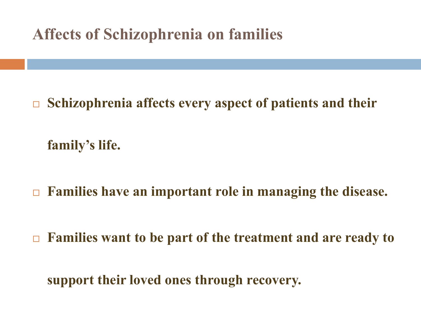#### **Affects of Schizophrenia on families**

## **Schizophrenia affects every aspect of patients and their family's life.**

**Families have an important role in managing the disease.** 

**Families want to be part of the treatment and are ready to** 

**support their loved ones through recovery.**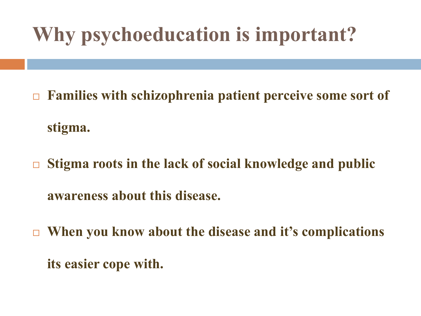## **Why psychoeducation is important?**

- **Families with schizophrenia patient perceive some sort of stigma.**
- **Stigma roots in the lack of social knowledge and public awareness about this disease.**
- **When you know about the disease and it's complications its easier cope with.**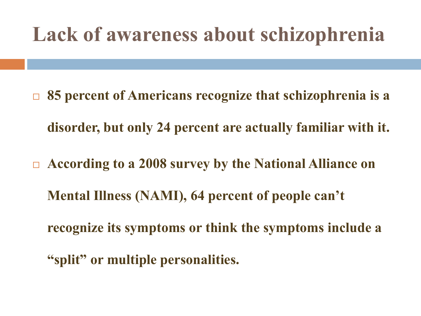## **Lack of awareness about schizophrenia**

- **85 percent of Americans recognize that schizophrenia is a disorder, but only 24 percent are actually familiar with it. According to a 2008 survey by the National Alliance on Mental Illness (NAMI), 64 percent of people can't recognize its symptoms or think the symptoms include a** 
	- **"split" or multiple personalities.**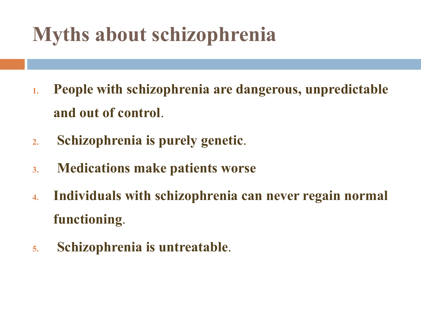## **Myths about schizophrenia**

- **1. People with schizophrenia are dangerous, unpredictable and out of control**.
- **2. Schizophrenia is purely genetic**.
- **3. Medications make patients worse**
- **4. Individuals with schizophrenia can never regain normal functioning**.
- **5. Schizophrenia is untreatable**.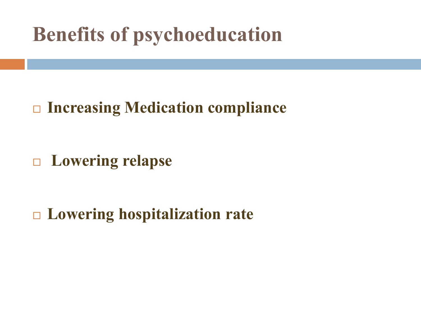### **Benefits of psychoeducation**

#### **Increasing Medication compliance**

**Lowering relapse**

**Lowering hospitalization rate**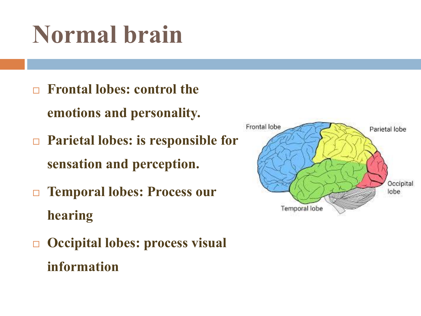## **Normal brain**

- **Frontal lobes: control the emotions and personality.**
- **Parietal lobes: is responsible for sensation and perception.**
- **Temporal lobes: Process our hearing**
- **Occipital lobes: process visual information**

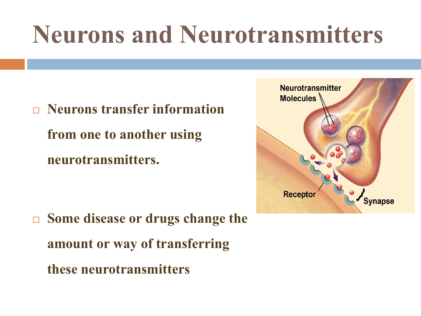## **Neurons and Neurotransmitters**

 **Neurons transfer information from one to another using neurotransmitters.** 

 **Some disease or drugs change the amount or way of transferring these neurotransmitters** 

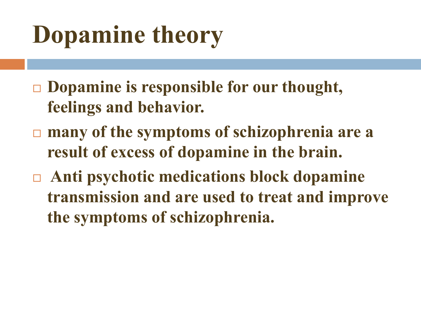# **Dopamine theory**

- □ Dopamine is responsible for our thought, **feelings and behavior.**
- **many of the symptoms of schizophrenia are a result of excess of dopamine in the brain.**
- **Anti psychotic medications block dopamine transmission and are used to treat and improve the symptoms of schizophrenia.**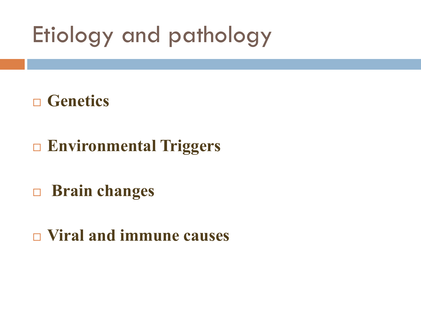## Etiology and pathology

- **Genetics**
- **Environmental Triggers**
- **Brain changes**
- **Viral and immune causes**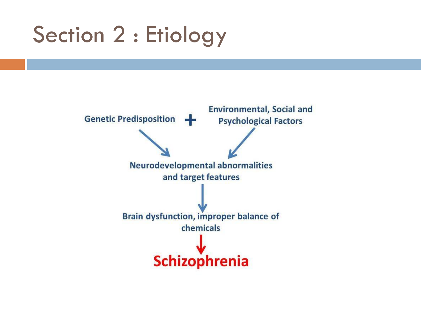## Section 2 : Etiology

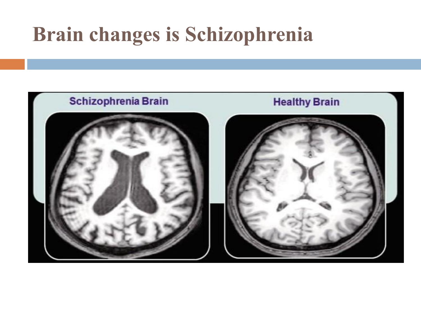## **Brain changes is Schizophrenia**

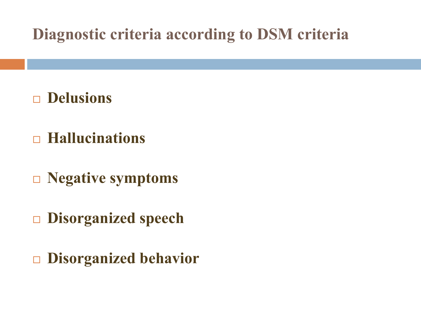#### **Diagnostic criteria according to DSM criteria**

- **Delusions**
- **Hallucinations**
- **Negative symptoms**
- **Disorganized speech**
- **Disorganized behavior**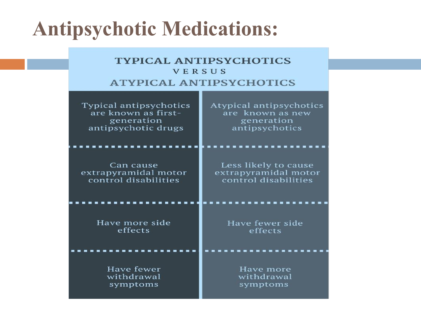### **Antipsychotic Medications:**

#### **TYPICAL ANTIPSYCHOTICS** VERSUS **ATYPICAL ANTIPSYCHOTICS**

Typical antipsychotics are known as firstgeneration antipsychotic drugs

Atypical antipsychotics are known as new generation antipsychotics

Can cause extrapyramidal motor control disabilities

> Have more side effects

> > Have fewer withdrawal symptoms

Less likely to cause extrapyramidal motor control disabilities

> Have fewer side effects

> > Have more withdrawal symptoms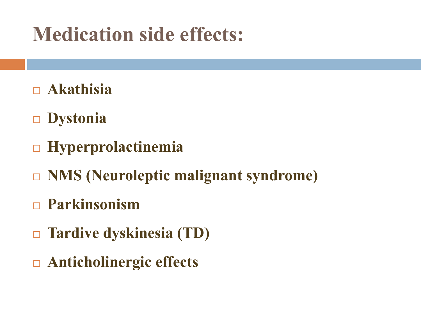### **Medication side effects:**

- **Akathisia**
- **Dystonia**
- **Hyperprolactinemia**
- **NMS (Neuroleptic malignant syndrome)**
- **Parkinsonism**
- **Tardive dyskinesia (TD)**
- **Anticholinergic effects**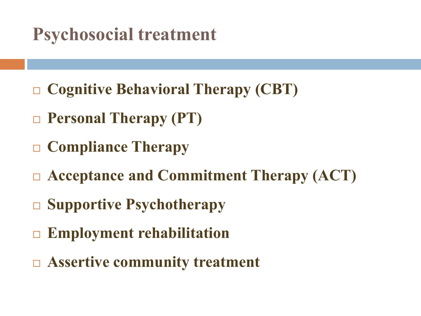### **Psychosocial treatment**

- **Cognitive Behavioral Therapy (CBT)**
- **Personal Therapy (PT)**
- **Compliance Therapy**
- **Acceptance and Commitment Therapy (ACT)**
- **Supportive Psychotherapy**
- **Employment rehabilitation**
- **Assertive community treatment**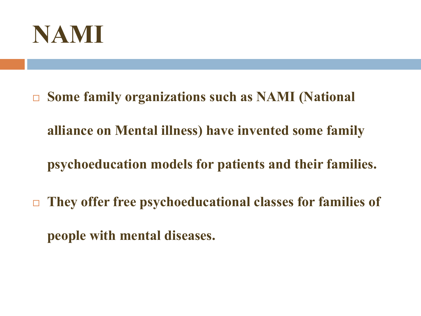

- **Some family organizations such as NAMI (National alliance on Mental illness) have invented some family psychoeducation models for patients and their families. They offer free psychoeducational classes for families of** 
	- **people with mental diseases.**